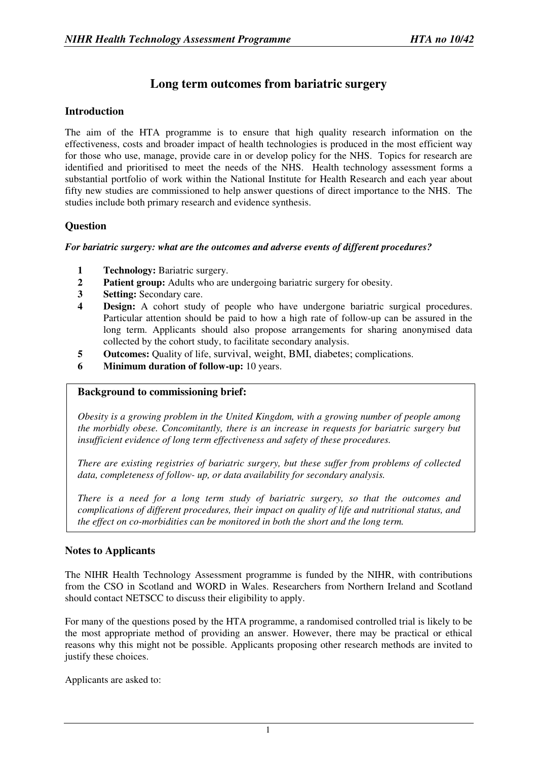# **Long term outcomes from bariatric surgery**

### **Introduction**

The aim of the HTA programme is to ensure that high quality research information on the effectiveness, costs and broader impact of health technologies is produced in the most efficient way for those who use, manage, provide care in or develop policy for the NHS. Topics for research are identified and prioritised to meet the needs of the NHS. Health technology assessment forms a substantial portfolio of work within the National Institute for Health Research and each year about fifty new studies are commissioned to help answer questions of direct importance to the NHS. The studies include both primary research and evidence synthesis.

### **Question**

### *For bariatric surgery: what are the outcomes and adverse events of different procedures?*

- **1 Technology:** Bariatric surgery.
- **2 Patient group:** Adults who are undergoing bariatric surgery for obesity.
- **3 Setting:** Secondary care.
- **4 Design:** A cohort study of people who have undergone bariatric surgical procedures. Particular attention should be paid to how a high rate of follow-up can be assured in the long term. Applicants should also propose arrangements for sharing anonymised data collected by the cohort study, to facilitate secondary analysis.
- **5 Outcomes:** Quality of life, survival, weight, BMI, diabetes; complications.
- **6 Minimum duration of follow-up:** 10 years.

## **Background to commissioning brief:**

*Obesity is a growing problem in the United Kingdom, with a growing number of people among the morbidly obese. Concomitantly, there is an increase in requests for bariatric surgery but insufficient evidence of long term effectiveness and safety of these procedures.* 

*There are existing registries of bariatric surgery, but these suffer from problems of collected data, completeness of follow- up, or data availability for secondary analysis.* 

*There is a need for a long term study of bariatric surgery, so that the outcomes and complications of different procedures, their impact on quality of life and nutritional status, and the effect on co-morbidities can be monitored in both the short and the long term.* 

### **Notes to Applicants**

The NIHR Health Technology Assessment programme is funded by the NIHR, with contributions from the CSO in Scotland and WORD in Wales. Researchers from Northern Ireland and Scotland should contact NETSCC to discuss their eligibility to apply.

For many of the questions posed by the HTA programme, a randomised controlled trial is likely to be the most appropriate method of providing an answer. However, there may be practical or ethical reasons why this might not be possible. Applicants proposing other research methods are invited to justify these choices.

Applicants are asked to: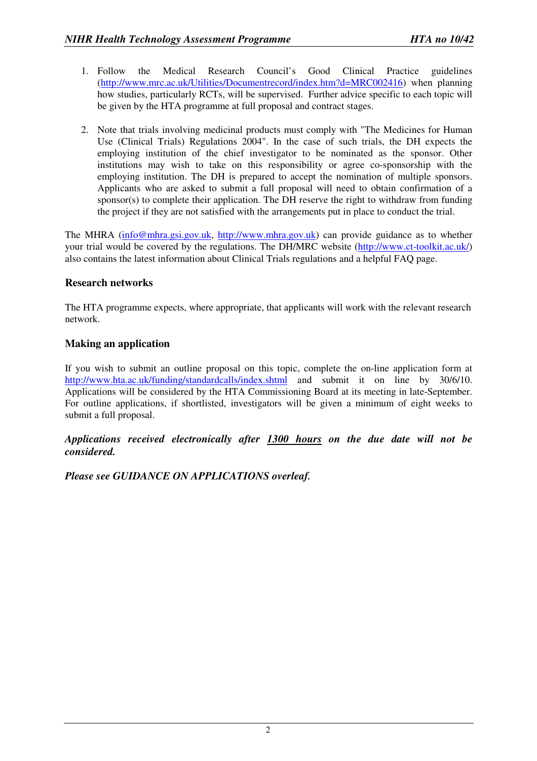- 1. Follow the Medical Research Council's Good Clinical Practice guidelines (http://www.mrc.ac.uk/Utilities/Documentrecord/index.htm?d=MRC002416) when planning how studies, particularly RCTs, will be supervised. Further advice specific to each topic will be given by the HTA programme at full proposal and contract stages.
- 2. Note that trials involving medicinal products must comply with "The Medicines for Human Use (Clinical Trials) Regulations 2004". In the case of such trials, the DH expects the employing institution of the chief investigator to be nominated as the sponsor. Other institutions may wish to take on this responsibility or agree co-sponsorship with the employing institution. The DH is prepared to accept the nomination of multiple sponsors. Applicants who are asked to submit a full proposal will need to obtain confirmation of a sponsor(s) to complete their application. The DH reserve the right to withdraw from funding the project if they are not satisfied with the arrangements put in place to conduct the trial.

The MHRA (info@mhra.gsi.gov.uk, http://www.mhra.gov.uk) can provide guidance as to whether your trial would be covered by the regulations. The DH/MRC website (http://www.ct-toolkit.ac.uk/) also contains the latest information about Clinical Trials regulations and a helpful FAQ page.

## **Research networks**

The HTA programme expects, where appropriate, that applicants will work with the relevant research network.

### **Making an application**

If you wish to submit an outline proposal on this topic, complete the on-line application form at http://www.hta.ac.uk/funding/standardcalls/index.shtml and submit it on line by 30/6/10. Applications will be considered by the HTA Commissioning Board at its meeting in late-September. For outline applications, if shortlisted, investigators will be given a minimum of eight weeks to submit a full proposal.

*Applications received electronically after 1300 hours on the due date will not be considered.* 

*Please see GUIDANCE ON APPLICATIONS overleaf.*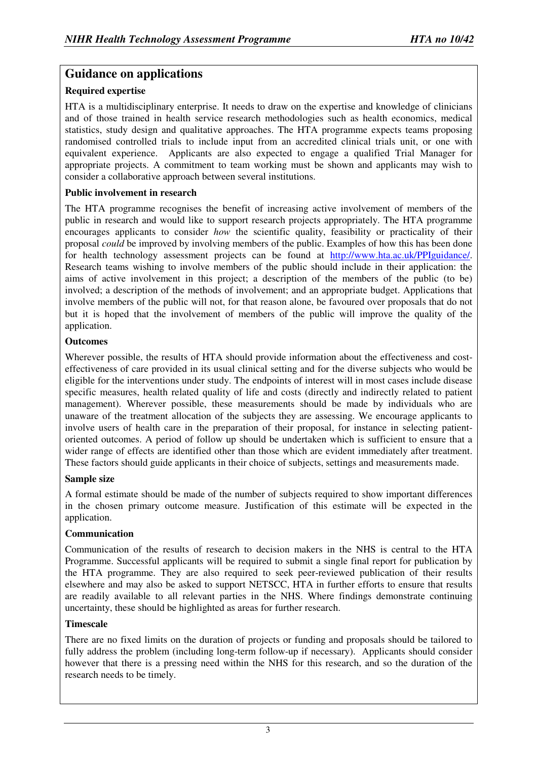## **Guidance on applications**

### **Required expertise**

HTA is a multidisciplinary enterprise. It needs to draw on the expertise and knowledge of clinicians and of those trained in health service research methodologies such as health economics, medical statistics, study design and qualitative approaches. The HTA programme expects teams proposing randomised controlled trials to include input from an accredited clinical trials unit, or one with equivalent experience. Applicants are also expected to engage a qualified Trial Manager for appropriate projects. A commitment to team working must be shown and applicants may wish to consider a collaborative approach between several institutions.

### **Public involvement in research**

The HTA programme recognises the benefit of increasing active involvement of members of the public in research and would like to support research projects appropriately. The HTA programme encourages applicants to consider *how* the scientific quality, feasibility or practicality of their proposal *could* be improved by involving members of the public. Examples of how this has been done for health technology assessment projects can be found at http://www.hta.ac.uk/PPIguidance/. Research teams wishing to involve members of the public should include in their application: the aims of active involvement in this project; a description of the members of the public (to be) involved; a description of the methods of involvement; and an appropriate budget. Applications that involve members of the public will not, for that reason alone, be favoured over proposals that do not but it is hoped that the involvement of members of the public will improve the quality of the application.

### **Outcomes**

Wherever possible, the results of HTA should provide information about the effectiveness and costeffectiveness of care provided in its usual clinical setting and for the diverse subjects who would be eligible for the interventions under study. The endpoints of interest will in most cases include disease specific measures, health related quality of life and costs (directly and indirectly related to patient management). Wherever possible, these measurements should be made by individuals who are unaware of the treatment allocation of the subjects they are assessing. We encourage applicants to involve users of health care in the preparation of their proposal, for instance in selecting patientoriented outcomes. A period of follow up should be undertaken which is sufficient to ensure that a wider range of effects are identified other than those which are evident immediately after treatment. These factors should guide applicants in their choice of subjects, settings and measurements made.

### **Sample size**

A formal estimate should be made of the number of subjects required to show important differences in the chosen primary outcome measure. Justification of this estimate will be expected in the application.

## **Communication**

Communication of the results of research to decision makers in the NHS is central to the HTA Programme. Successful applicants will be required to submit a single final report for publication by the HTA programme. They are also required to seek peer-reviewed publication of their results elsewhere and may also be asked to support NETSCC, HTA in further efforts to ensure that results are readily available to all relevant parties in the NHS. Where findings demonstrate continuing uncertainty, these should be highlighted as areas for further research.

### **Timescale**

There are no fixed limits on the duration of projects or funding and proposals should be tailored to fully address the problem (including long-term follow-up if necessary). Applicants should consider however that there is a pressing need within the NHS for this research, and so the duration of the research needs to be timely.